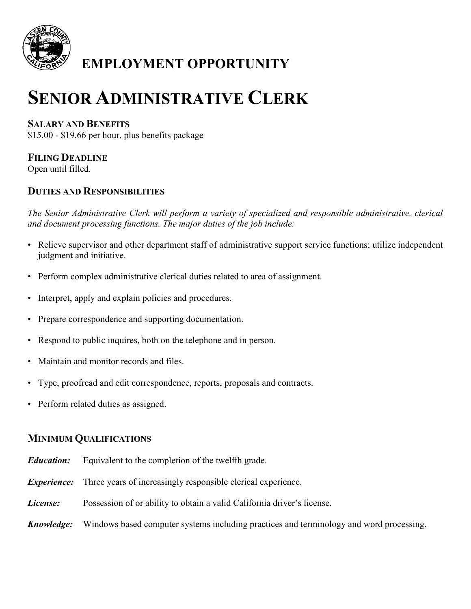

**EMPLOYMENT OPPORTUNITY**

# **SENIOR ADMINISTRATIVE CLERK**

# **SALARY AND BENEFITS**

\$15.00 - \$19.66 per hour, plus benefits package

### **FILING DEADLINE**

Open until filled.

## **DUTIES AND RESPONSIBILITIES**

*The Senior Administrative Clerk will perform a variety of specialized and responsible administrative, clerical and document processing functions. The major duties of the job include:*

- Relieve supervisor and other department staff of administrative support service functions; utilize independent judgment and initiative.
- Perform complex administrative clerical duties related to area of assignment.
- Interpret, apply and explain policies and procedures.
- Prepare correspondence and supporting documentation.
- Respond to public inquires, both on the telephone and in person.
- Maintain and monitor records and files.
- Type, proofread and edit correspondence, reports, proposals and contracts.
- Perform related duties as assigned.

### **MINIMUM QUALIFICATIONS**

- *Education:* Equivalent to the completion of the twelfth grade.
- **Experience:** Three years of increasingly responsible clerical experience.
- *License:* Possession of or ability to obtain a valid California driver's license.
- *Knowledge:* Windows based computer systems including practices and terminology and word processing.